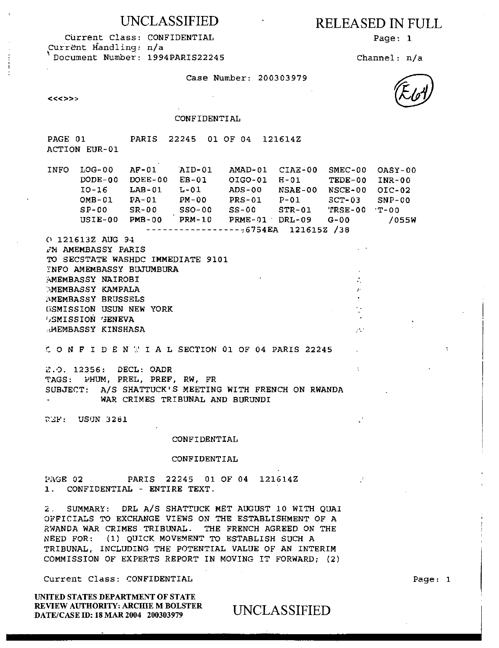Current Class: CONFIDENTIAL Page: 1 Current Handling: n/a Document Number: 1994PARIS22245 Channel: n/a

### UNCLASSIFIED RELEASED IN FULL

 $\mathcal{D}^{(1)}$ 

 $\cdot$ 

Case Number: 200303979

 $<<$ 

### CONFIDENTIAL

PAGE 01 PARIS 22245 01 OF 04 121614Z ACTION EUR-01

INFO LOG-00 AF-01 AID-01 AMAD-01 CIAE-00 SMEC-00 OASY-00 DODE-00 DOEE-00 EB-01 10-16 LAB-01 L-01 OMB-01 PA-01 PM-00 SP-00 SR-00 SSO-00 USIE-00 PMB-00 PRM-10 PRME-01' DRL-09 G-00 01G0-01 ADS-00 PRS-01 SS-00 ,6754EA 121615Z /38 H-01 NSAE-00 P-01 STR-01 TEDE-00 NSCE-00 SCT-03 TRSE-00 INR-00 01C-02 SNP-00 'T-00 /055W

0 121613Z AUG 94 2M AMEMBASSY PARIS TO SECSTATE WASHDC IMMEDIATE 9101 INFO AMEMBASSY BUJUMBURA AMEMBASSY NAIROBI **AMEMBASSY KAMPALA** MEMBASSY BRUSSELS USMISSION USUN NEW YORK ')SMISSION GENEVA .tMEMBASSY KINSHASA

C ONFIDENfiALSECTION 01 OF 04 PARIS 22245

E.O. 12356: DECL: OADR TAGS: PHUM, PREL, PREF, RW, FR SUBJECT: A/S SHATTUCK'S MEETING WITH FRENCH ON RWANDA WAR CRIMES TRIBUNAL AND BURUNDI

USUN 3281

#### CONFIDENTIAL

### CONFIDENTIAL

PAGE 02 PARIS 22245 01 OF 04 121614Z 1. CONFIDENTIAL - ENTIRE TEXT.

2. SUMMARY: DRL A/S SHATTUCK MET AUGUST 10 WITH QUAI OFFICIALS TO EXCHANGE VIEWS ON THE ESTABLISHMENT OF A RWANDA WAR CRIMES TRIBUNAL. THE FRENCH AGREED ON THE NEED FOR: (1) QUICK MOVEMENT TO ESTABLISH SUCH A TRIBUNAL, INCLUDING THE POTENTIAL VALUE OF AN INTERIM COMMISSION OF EXPERTS REPORT IN MOVING IT FORWARD; (2)

Current Class: CONFIDENTIAL

UNITED STATES DEPARTMENT OF STATE REVIEW AUTHORITY: ARCHIE M BOLSTER DATE/CASE ID: 18 MAR 2004 200303979

UNCLASSIFIED

Page: 1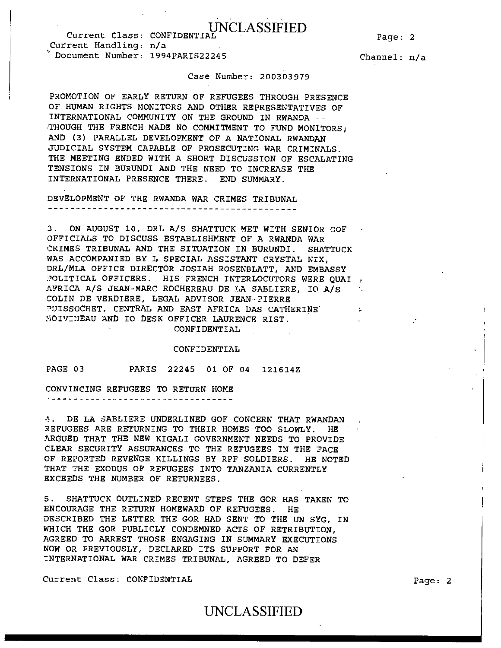## UNCLASSIFIED Current Class: CONFIDENTIAL Page: 2

Current Handling: n/a • Document Number: 1994PARIS22245 Channel: n/a

### Case Number: 200303979

PROMOTION OF EARLY RETURN OF REFUGEES THROUGH PRESENCE OF HUMAN RIGHTS MONITORS AND OTHER REPRESENTATIVES OF INTERNATIONAL COMMUNITY ON THE GROUND IN RWANDA -- THOUGH THE FRENCH MADE NO COMMITMENT TO FUND MONITORS; AND (3) PARALLEL DEVELOPMENT OF A NATIONAL RWANDAN JUDICIAL SYSTEM CAPABLE OF PROSECUTING WAR CRIMINALS. THE MEETING ENDED WITH A SHORT DISCUSSION OF ESCALATING TENSIONS IN BURUNDI AND THE NEED TO INCREASE THE INTERNATIONAL PRESENCE THERE. END SUMMARY.

DEVELOPMENT OF THE RWANDA WAR CRIMES TRIBUNAL 

3. ON AUGUST 10, DRL A/s SHATTUCK MET WITH SENIOR GOF OFFICIALS TO DISCUSS ESTABLISHMENT OF A RWANDA WAR CRIMES TRIBUNAL AND THE SITUATION IN BURUNDI. SHATTUCK WAS ACCOMPANIED BY L SPECIAL ASSISTANT CRYSTAL NIX, DRL/MLA OFFICE DIRECTOR JOSIAH ROSENBLATT, AND EMBASSY POLITICAL OFFICERS. HIS FRENCH INTERLOCUTORS WERE QUAI  $\epsilon$ AFRICA A/S JEAN-MARC ROCHEREAU DE LA SABLIERE, IO A/S COLIN DE VERDIERE, LEGAL ADVISOR JEAN-PIERRE ?UISSOCHET, CENTRAL AND EAST AFRICA DAS CATHERINE  $\sim$  1. Yi0IVINEAU AND IO DESK OFFICER LAURENCE KIST.

CONFIDENTIAL

### CONFIDENTIAL

PAGE 03 PARIS 22245 01 OF 04 121614Z

CONVINCING REFUGEES TO RETURN HOME ------------------------------------

4. DE LA SABLIERE UNDERLINED GOF CONCERN THAT RWANDAN REFUGEES ARE RETURNING TO THEIR HOMES TOO SLOWLY. HE ARGUED THAT THE NEW KIGALI GOVERNMENT NEEDS TO PROVIDE CLEAR SECURITY ASSURANCES TO THE REFUGEES IN THE ?ACE OF REPORTED REVENGE KILLINGS BY RPF SOLDIERS. HE NOTED THAT THE EXODUS OF REFUGEES INTO TANZANIA CURRENTLY EXCEEDS THE NUMBER OF RETURNEES.

5. SHATTUCK OUTLINED RECENT STEPS THE GOR HAS TAKEN TO ENCOURAGE THE RETURN HOMEWARD OF REFUGEES. HE DESCRIBED THE LETTER THE GOR HAD SENT TO THE UN SYG, IN WHICH THE GOR PUBLICLY CONDEMNED ACTS OF RETRIBUTION, AGREED TO ARREST THOSE ENGAGING IN SUMMARY EXECUTIONS NOW OR PREVIOUSLY, DECLARED ITS SUPPORT FOR AN INTERNATIONAL WAR CRIMES TRIBUNAL, AGREED TO DEFER

Current Class: CONFIDENTIAL extended a series of the page: 2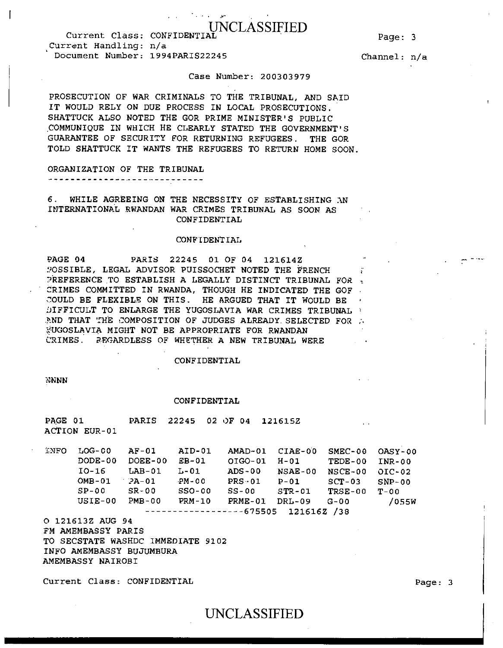### UNCLASSIFIED

- 300

Page: 3

Current Class: CONFIDENTIAL Current Handling: n/a Document Number: 1994PARIS22245

Channel: n/a

### Case Number: 200303979

PROSECUTION OF WAR CRIMINALS TO THE TRIBUNAL, AND SAID IT WOULD RELY ON DUE PROCESS IN LOCAL PROSECUTIONS. SHATTUCK ALSO NOTED THE GOR PRIME MINISTER'S PUBLIC COMMUNIQUE IN WHICH HE CLEARLY STATED THE GOVERNMENT'S GUARANTEE OF SECURITY FOR RETURNING REFUGEES. THE GOR TOLD SHATTUCK IT WANTS THE REFUGEES TO RETURN HOME SOON.

ORGANIZATION OF THE TRIBUNAL 

6. WHILE AGREEING ON THE NECESSITY OF ESTABLISHING AN INTERNATIONAL RWANDAN WAR CRIMES TRIBUNAL AS SOON AS CONFIDENTIAL

### CONFIDENTIAL

PAGE 04 PARIS 22245 01 OF 04 121614Z 90SSIBLE, LEGAL ADVISOR PUISSOCHET NOTED THE FRENCH PREFERENCE TO ESTABLISH A LEGALLY DISTINCT TRIBUNAL FOR CRIMES COMMITTED IN RWANDA, THOUGH HE INDICATED THE GOF COULD BE FLEXIBLE ON THIS. HE ARGUED THAT IT WOULD BE DIFFICULT TO ENLARGE THE YUGOSLAVIA WAR CRIMES TRIBUNAL  $\pm$ AND THAT THE COMPOSITION OF JUDGES ALREADY. SELECTED FOR A •UGOSLAVIA MIGHT NOT BE APPROPRIATE FOR RWANDAN CRIMES. REGARDLESS OF WHETHER A NEW TRIBUNAL WERE

### CONFIDENTIAL

NNNN

#### CONFIDENTIAL

PAGE 01 PARIS 22245 02 OF 04 121615Z ACTION EUR-01

INFO LOG-CO AF-01 AID-01 AMAD-01 CIAE-00 SMEC-00 OASY-00 DODE-00 DOEE-00 EB-01 OIG0-01 H-01 TEDE-00 INR-00 10-16 LAB-01 L-01 ADS-00 NSAE-00 NSCE-00 OIC-02 OMB-01 2A-01 PM-00 PRS•01 P-01 SCT-03 SNP-00 SP-00 SR-00 SSO-00 SS-00 STR-01 TRSE-00 T-00 USIE-00 PMB-00 PRM-10 PRME-01 DRL-09 G-00 /055W -----------------675505 121616Z /38

0 121613Z AUG 94 FM AMEMBASSY PARIS TO SECSTATE WASHDC IMMEDIATE 9102 INFO AMEMBASSY BUJUMBURA AMEMBASSY NAIROBI

Current Class: CONFIDENTIAL extended a series of the page: 3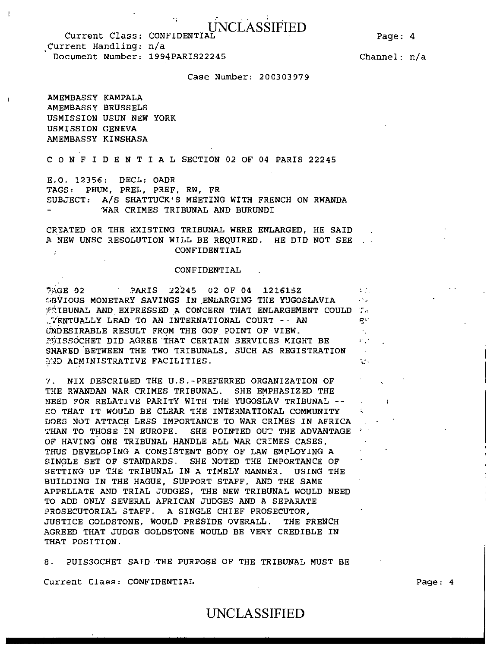Page: 4

UNCLASSIFIED Current Class: CONFIDENTIAL . Current Handling: n/a Document Number: 1994PARIS22245

Channel: n/a

### Case Number: 200303979

AMEMBASSY KAMPALA AMEMBASSY BRUSSELS USMISSION USUN NEW YORK USMISSION GENEVA AMEMBASSY KINSHASA

C ONFIDENTIALSECTION 02 OF 04 PARIS 22245

E.O. 12356: DECL: OADR TAGS: PHUM, PREL, PREF, RW, FR SUBJECT: A/S SHATTUCK'S MEETING WITH FRENCH ON RWANDA WAR CRIMES TRIBUNAL AND BURUNDI

CREATED OR THE EXISTING TRIBUNAL WERE ENLARGED, HE SAID A NEW UNSC RESOLUTION WILL BE REQUIRED. HE DID NOT SEE CONFIDENTIAL

### CONFIDENTIAL

PAGE 02 PARIS 22245 02 OF 04 121615Z  $\mathcal{V}(\mathcal{C})$ GBVIOUS MONETARY SAVINGS IN ENLARGING THE YUGOSLAVIA  $\sim 10$  $\#$ 1BUNAL AND EXPRESSED A CONCERN THAT ENLARGEMENT COULD T,  $\mathbb{Z}$ VENTUALLY LEAD TO AN INTERNATIONAL COURT -- AN qv UNDESIRABLE RESULT FROM THE GOF POINT OF VIEW.  $\mathcal{A}_{\perp}$ PUISSOCHET DID AGREE THAT CERTAIN SERVICES MIGHT BE  $\mathbb{R}^{n\times n}$ SHARED BETWEEN THE TWO TRIBUNALS, SUCH AS REGISTRATION  $\sim$   $\sim$ AND ADMINISTRATIVE FACILITIES.  $\mathcal{L}_{\mathcal{L}}$  .

7. NIX DESCRIBED THE U.S.-PREFERRED ORGANIZATION OF THE RWANDAN WAR CRIMES TRIBUNAL. SHE EMPHASIZED THE NEED FOR RELATIVE PARITY WITH THE YUGOSLAV TRIBUNAL -- SO THAT IT WOULD BE CLEAR THE INTERNATIONAL COMMUNITY DOES NOT ATTACH LESS IMPORTANCE TO WAR CRIMES IN AFRICA THAN TO THOSE IN EUROPE. SHE POINTED OUT THE ADVANTAGE OF HAVING ONE TRIBUNAL HANDLE ALL WAR CRIMES CASES, THUS DEVELOPING A CONSISTENT BODY OF LAW EMPLOYING A SINGLE SET OF STANDARDS. SHE NOTED THE IMPORTANCE OF SETTING UP THE TRIBUNAL IN A TIMELY MANNER. USING THE BUILDING IN THE HAGUE, SUPPORT STAFF, AND THE SAME APPELLATE AND TRIAL JUDGES, THE NEW TRIBUNAL WOULD NEED TO ADD ONLY SEVERAL AFRICAN JUDGES AND A SEPARATE PROSECUTORIAL STAFF. A SINGLE CHIEF PROSECUTOR, JUSTICE GOLDSTONE, WOULD PRESIDE OVERALL. THE FRENCH AGREED THAT JUDGE GOLDSTONE WOULD BE VERY CREDIBLE IN THAT POSITION.

8. PUISSOCHET SAID THE PURPOSE OF THE TRIBUNAL MUST BE

Current Class: CONFIDENTIAL Page: 4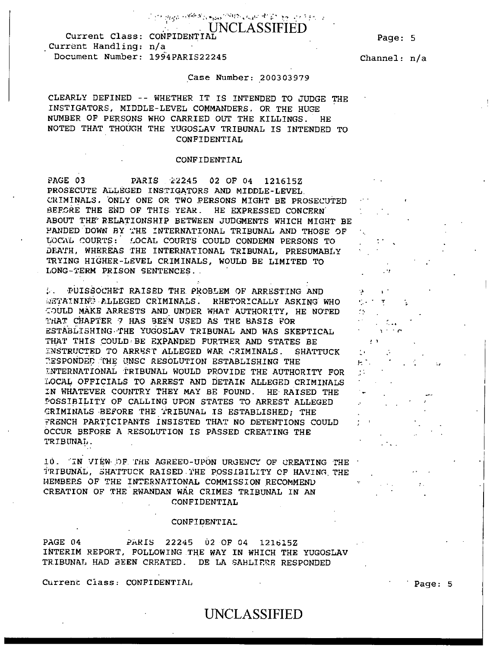ි දරින දිනිනුව පැමිණි කිය මුහුණ <sup>පවතු</sup>වට බොහෝ සිරි බිරි ලෙස දෙන වැසිය. අ **UNCLASSIFIED** 

Current Class: CONFIDENTIAL Page: 5 . Current Handling: n/a Document Number: 1994PARIS22245 Channel: n/a

### Case Number: 200303979

CLEARLY DEFINED -- WHETHER IT IS INTENDED TO JUDGE THE INSTIGATORS, MIDDLE-LEVEL COMMANDERS. OR THE HUGE NUMBER OF PERSONS WHO CARRIED OUT THE KILLINGS. HE NOTED THAT THOUGH THE YUGOSLAV TRIBUNAL IS INTENDED TO CONFIDENTIAL

### CONFIDENTIAL

PAGE 03 PARIS 22245 02 OF 04 121615Z PROSECUTE ALLEGED INSTIGATORS AND MIDDLE-LEVEL. CRIMINALS. ONLY ONE OR TWO PERSONS MIGHT BE PROSECUTED BEFORE THE END OF THIS YEAR. HE EXPRESSED CONCERN ABOUT THE RELATIONSHIP BETWEEN JUDGMENTS WHICH MIGHT BE HANDED DOWN BY THE INTERNATIONAL TRIBUNAL AND THOSE OF LOCAL COURTS: LOCAL COURTS COULD CONDEMN PERSONS TO DEATH, WHEREAS THE INTERNATIONAL TRIBUNAL, PRESUMABLY TRYING HIGHER-LEVEL CRIMINALS, WOULD BE LIMITED TO LONG-TERM PRISON SENTENCES. .

•UISSOCHET RAISED THE. PROBLEM OF ARRESTING AND  $\mathcal{L}(\mathcal{L})$ WETAINING ALLEGED CRIMINALS. RHETORICALLY ASKING WHO COULD MAKE ARRESTS AND UNDER WHAT AUTHORITY, HE NOTED THAT CHAPTER 7 HAS BEEN USED AS THE BASIS FOR ESTABLISHING-THE YUGOSLAV TRIBUNAL AND WAS SKEPTICAL THAT THIS COULD-BE EXPANDED FURTHER AND STATES BE INSTRUCTED TO ARREST ALLEGED WAR CRIMINALS. SHATTUCK 7'.ESPONDED:THE NNSC RESOLUTION ESTABLISHING THE INTERNATIONAL TRIBUNAL WOULD PROVIDE THE AUTHORITY FOR LOCAL OFFICIALS TO ARREST AND DETAIN ALLEGED CRIMINALS IN WHATEVER COUNTRY THEY MAY BE FOUND. HE RAISED THE POSSIBILITY OF CALLING UPON STATES TO ARREST ALLEGED CRIMINALS-BEFORE THE TRIBUNAL IS ESTABLISHED; THE FRENCH PARTICIPANTS INSISTED THAT NO DETENTIONS COULD OCCUR BEFORE A RESOLUTION IS PASSED CREATING THE TRIBUNAL.

10. IN VIEW-OF THE AGREED-UPON URGENCY OF CREATING THE TRIBUNAL, SHATTUCK RAISED THE POSSIBILITY OF HAVING THE MEMBERS OF THE INTERNATIONAL COMMISSION RECOMMEND CREATION OF THE RWANDAN WAR CRIMES TRIBUNAL IN AN CONFIDENTIAL

### CONFIDENTIAL

PAGE 04 PARIS 22245 O2 OF 04 121615Z INTERIM REPORT, FOLLOWING THE WAY IN WHICH THE YUGOSLAV TRIBUNAL HAD BEEN CREATED. DE LA SAHLIERE RESPONDED

Current Class: CONFIDENTIAL **Page: 5** 

 $\Delta$   $\sim$ 

 $\Delta$   $\sim$   $\epsilon$  $2.3<sub>1</sub>$  $\mathcal{L}_{\rm{max}}$  $\mathbb{H}^{\times}$  $\mathcal{L}_{\mathcal{A}}$ 

**ا ب**  $\mathbf{r}_i$  ,  $\mathbf{r}_j$  ,  $\mathbf{r}_j$  ,  $\mathcal{L}_{\mathcal{P}}$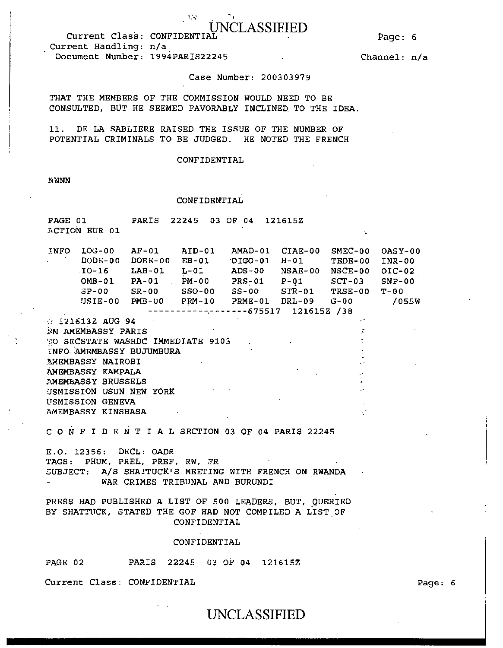### ASSIFIED

Current Class: CONFIDENTIAL Current Handling: n/a Document Number: 1994PARIS22245

Page: 6

Channel: n/a

### Case Number: 200303979

THAT THE MEMBERS OF THE COMMISSION WOULD NEED TO BE CONSULTED, BUT HE SEEMED FAVORABLY INCLINED TO THE IDEA.

 $\mathcal{V}=\mathcal{V}_0$ 

11. DE LA SABLIERE RAISED THE ISSUE OF THE NUMBER OF POTENTIAL CRIMINALS TO BE JUDGED. HE NOTED THE FRENCH

### CONFIDENTIAL

**NNNN** 

### CONFIDENTIAL

PAGE 01 PARIS 22245 03 OF 04 121615Z  $\Lambda$ CTION EUR-01

| <b>ENFO</b>   | $LOG-00$                              | $AF-01$    | AID-01   | AMAD-01        | $CIAE-00$         |          | SMEC-00 OASY-00 |
|---------------|---------------------------------------|------------|----------|----------------|-------------------|----------|-----------------|
| $\sim$ $\sim$ | $DODE-0.0$                            | $DOEE-00$  | $EB-01$  | $OIGO-01$ H-01 |                   | TEDE-00  | INR-00          |
|               | TO-16                                 | $LAB-01$   | L-01     | $ADS-00$       | <b>NSAE-00</b>    | NSCE-00  | OIC-02          |
|               | $OMB-01$                              | PA-01      | PM-00    | <b>PRS-01</b>  | P-01              | $SCT-03$ | $SNP-00$        |
|               | $3P-00$                               | $SR-00$    | $SSO-00$ | $SS-00$        | $\texttt{STR-01}$ | TRSE-00  | $T - 00$        |
|               | USIE-00                               | $PMB - UQ$ | $PRM-10$ | PRME-01        | DRL-09            | G-00     | /055W           |
|               | -------------------675517 121615Z /38 |            |          |                |                   |          |                 |

 $\therefore$  121613Z AUG 94 EM AMEMBASSY PARIS O SECSTATE WASHDC IMMEDIATE 9103 INFO AMEMBASSY BUJUMBURA AMEMBASSY NAIROBI AMEMBASSY KAMPALA AMEMBASSY BRUSSELS USMISSION USUN NEW YORK USMISSION GENEVA AMEMBASSY KINSHASA

CONFIDENTIALSECTION 03 OF 04 PARIS 22245

E.O. 12356: DECL: OADR TAGS: PHUM, PREL, PREF, RW, FR SUBJECT: A/S SHATTUCK'S MEETING WITH FRENCH ON RWANDA WAR CRIMES TRIBUNAL AND BURUNDI

PRESS HAD PUBLISHED A LIST OF 500 LEADERS, BUT, QUERIED BY SHATTUCK, STATED THE GOF HAD NOT COMPILED A LIST OF CONFIDENTIAL

### CONFIDENTIAL

PAGE 02 PARIS 22245 03 OF 04 121615Z

Current Class: CONFIDENTIAL Page: 6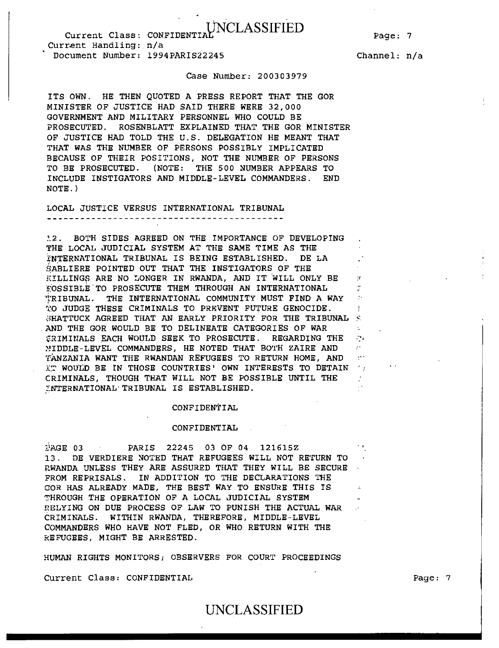## UNCLASSIFIED Current Class: CONFIDENTIAL,

Page: 7

Current Handling: n/a Document Number: 1994PARIS22245

Channel: n/a

×

÷.  $\mathcal{D}_{\mathcal{A}}$  $\sigma$  . è,

### Case Number: 200303979

ITS OWN. HE THEN QUOTED A PRESS REPORT THAT THE GOR MINISTER OF JUSTICE HAD SAID THERE WERE 32,000 GOVERNMENT AND MILITARY PERSONNEL WHO COULD BE PROSECUTED. ROSENBLATT EXPLAINED THAT THE GOR MINISTER OF JUSTICE HAD TOLD THE U.S. DELEGATION HE MEANT THAT THAT WAS THE NUMBER OF PERSONS POSSIBLY IMPLICATED BECAUSE OF THEIR POSITIONS, NOT THE NUMBER OF PERSONS TO BE PROSECUTED. (NOTE: THE 500 NUMBER APPEARS TO INCLUDE INSTIGATORS AND MIDDLE-LEVEL COMMANDERS. END NOTE.)

LOCAL JUSTICE VERSUS INTERNATIONAL TRIBUNAL 

12. BOTH SIDES AGREED ON THE IMPORTANCE OF DEVELOPING THE LOCAL JUDICIAL SYSTEM AT THE SAME TIME AS THE INTERNATIONAL TRIBUNAL IS BEING ESTABLISHED. DE LA SABLIERE POINTED OUT THAT THE INSTIGATORS OF THE KILLINGS ARE NO LONGER IN RWANDA, AND IT WILL ONLY BE  $E$ OSSIBLE TO PROSECUTE THEM THROUGH AN INTERNATIONAL TRIBUNAL. THE INTERNATIONAL COMMUNITY MUST FIND A WAY TO JUDGE THESE CRIMINALS TO PREVENT FUTURE GENOCIDE.  $\frac{1}{2}$ HATTUCK AGREED THAT AN EARLY PRIORITY FOR THE TRIBUNAL  $\frac{1}{2}$ AND THE GOR WOULD BE TO DELINEATE CATEGORIES OF WAR *ERIMINALS EACH WOULD SEEK TO PROSECUTE. REGARDING THE* MIDDLE-LEVEL COMMANDERS, HE NOTED THAT BOTH ZAIRE AND TANZANIA WANT THE RWANDAN REFUGEES TO RETURN HOME, AND IT WOULD BE IN THOSE COUNTRIES' OWN INTERESTS TO DETAIN TH CRIMINALS, THOUGH THAT WILL NOT BE POSSIBLE UNTIL THE INTERNATIONAL' IRIBUNAL IS ESTABLISHED.

### CONFIDENTIAL

### CONFIDENTIAL

DAGE 03 PARIS 22245 03 OF 04 121615Z 13. DE VERDIERE NOTED THAT REFUGEES WILL NOT RETURN TO RWANDA UNLESS THEY ARE ASSURED THAT THEY WILL BE SECURE FROM REPRISALS. IN ADDITION TO THE DECLARATIONS THE COR HAS ALREADY MADE, THE BEST WAY TO ENSURE THIS IS THROUGH THE OPERATION OF A LOCAL JUDICIAL SYSTEM RELYING ON DUE PROCESS OF LAW TO PUNISH THE ACTUAL WAR CRIMINALS. WITHIN RWANDA, THEREFORE, MIDDLE-LEVEL COMMANDERS WHO HAVE NOT FLED, OR WHO RETURN WITH THE REFUGEES, MIGHT BE ARRESTED.

HUMAN RIGHTS MONITORS; OBSERVERS FOR COURT PROCEEDINGS

Current Class: CONFIDENTIAL Page: 7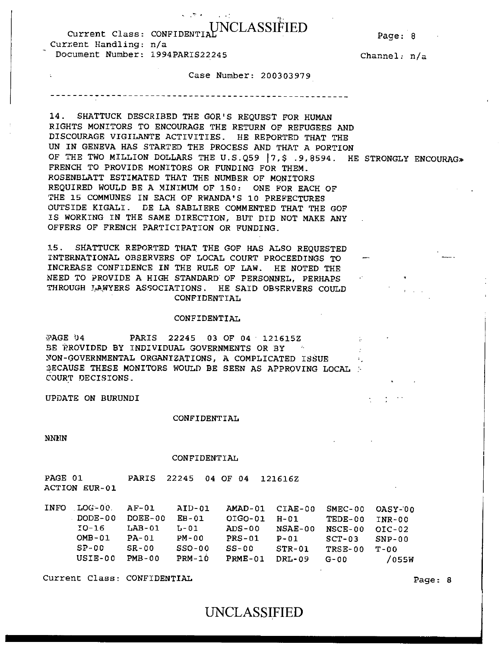# Current Class: CONFIDENTIAL VIOLASSIFIED Page: 8

 $\sim$   $\sim$   $\sim$ 

Current Handling: n/a Document Number: 1994PARIS22245 Channel: n/a

 $\mathcal{A}_\perp$ 

Case Number: 200303979

14. SHATTUCK DESCRIBED THE GOR'S REQUEST FOR HUMAN RIGHTS MONITORS TO ENCOURAGE THE RETURN OF REFUGEES AND DISCOURAGE VIGILANTE ACTIVITIES. HE REPORTED THAT THE UN IN GENEVA HAS STARTED THE PROCESS AND THAT A PORTION OF THE TWO MILLION DOLLARS THE U.S.Q59 | 7, \$ .9,8594. HE STRONGLY ENCOURAG» FRENCH TO PROVIDE MONITORS OR FUNDING FOR THEM. ROSENBLATT ESTIMATED THAT THE NUMBER OF MONITORS REQUIRED WOULD BE A MINIMUM OF 150: ONE FOR EACH OF THE 15 COMMUNES IN EACH OF RWANDA'S 10 PREFECTURES OUTSIDE KIGALI. DE LA SABLIERE COMMENTED THAT THE GOF IS WORKING IN THE SAME DIRECTION, BUT DID NOT MAKE ANY OFFERS OF FRENCH PARTICIPATION OR FUNDING.

15. SHATTUCK REPORTED THAT THE GOF HAS ALSO REQUESTED INTERNATIONAL OBSERVERS OF LOCAL COURT PROCEEDINGS TO INCREASE CONFIDENCE IN THE RULE OF LAW. HE NOTED THE NEED TO PROVIDE A HIGH STANDARD OF PERSONNEL, PERHAPS THROUGH LAWYERS ASSOCIATIONS. HE SAID OBSERVERS COULD CONFIDENTIAL

### CONFIDENTIAL

:'AGE 04 PARIS 22245 03 OF 04 121615Z BE PROVIDED BY INDIVIDUAL GOVERNMENTS OR BY MON-GOVERNMENTAL ORGANIZATIONS, A COMPLICATED ISSUE SECAUSE THESE MONITORS WOULD BE SEEN AS APPROVING LOCAL : COURT DECISIONS.

UPDATE ON BURUNDI

### CONFIDENTIAL

NNEN

### CONFIDENTIAL

| PAGE 01       |  | PARIS 22245 04 OF 04 121616Z |  |
|---------------|--|------------------------------|--|
| ACTION EUR-01 |  |                              |  |

| <b>INFO</b> | LOG-00.  | AF-01    | AID-01   |           | AMAD-01 CIAE-00 | SMEC-00   | OASY-00  |
|-------------|----------|----------|----------|-----------|-----------------|-----------|----------|
|             | DODE-00  | DOEE-00  | $EB-01$  | $OIGO-01$ | H-01            | TEDE-00   | TNR-00   |
|             | TO-16    | $LAB-01$ | T. – O 1 | $ADS-00$  | $NSAE-00$       | NSCE-00   | $OIC-02$ |
|             | $OMB-01$ | $PA-01$  | $PM-00$  | $PRS-01$  | $P - 01$        | $SCT-03$  | $SNP-00$ |
|             | $SP-00$  | $SR-00$  | $SSO-00$ | $SS-00$   | $STR-01$        | TRSE-00   | $T-0.0$  |
|             | USIE-00  | PMB-00   | $PRM-10$ | $PRME-01$ | DRL-09          | $G - 0.0$ | /055W    |

Current Class: CONFIDENTIAL **Page: 8**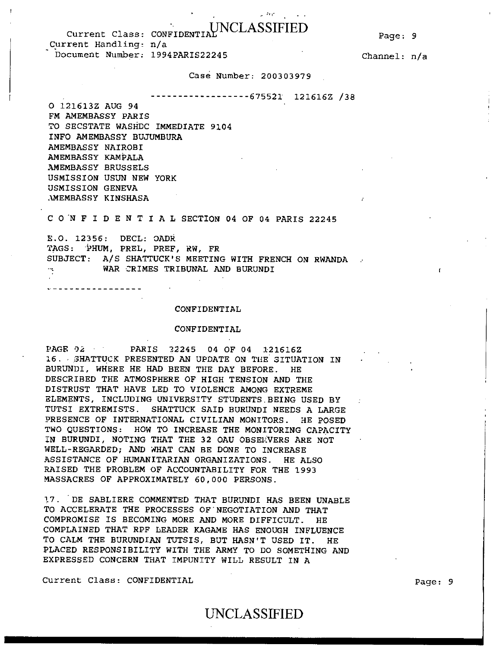### Page: 9

Current Class: CONFIDENTIAL MOCLASSIFIED Current Handling: n/a Document Number: 1994PARIS22245

Channel: n/a

### Case Number: 200303979

675521 121616Z /38

医有机能 人名

0 121613Z AUG 94 FM AMEMBASSY PARIS TO SECSTATE WASHDC IMMEDIATE 9104 INFO AMEMBASSY BUJUMBURA AMEMBASSY NAIROBI AMEMBASSY KAMPALA AMEMBASSY BRUSSELS USMISSION USUN NEW YORK USMISSION GENEVA AMEMBASSY KINSHASA

. . . . . . . . . . . . . . . . . .

C OWFIDENTIALSECTION 04 OF 04 PARIS 22245

E.O. 12356: DECL: OADR TAGS: PHUM, PREL, PREF, RW, FR SUBJECT: A/S SHATTUCK'S MEETING WITH FRENCH ON RWANDA WAR CRIMES TRIBUNAL AND BURUNDI

 $\sim 100$ 

#### CONFIDENTIAL

#### CONFIDENTIAL

PAGE 02 PARIS 22245 04 OF 04 121616Z 16. SHATTUCK PRESENTED AN UPDATE ON THE SITUATION IN BURUNDI, WHERE HE HAD BEEN THE DAY BEFORE. HE DESCRIBED THE ATMOSPHERE OF HIGH TENSION AND THE DISTRUST THAT HAVE LED TO VIOLENCE AMONG EXTREME ELEMENTS, INCLUDING UNIVERSITY STUDENTS.BEING USED BY TUTSI EXTREMISTS. SHATTUCK SAID BURUNDI NEEDS A LARGE PRESENCE OF INTERNATIONAL CIVILIAN MONITORS. HE POSED TWO QUESTIONS: HOW TO INCREASE THE MONITORING CAPACITY IN BURUNDI, NOTING THAT THE 32 OAU OBSERVERS ARE NOT WELL-REGARDED; AND WHAT CAN BE DONE TO INCREASE ASSISTANCE OF HUMANITARIAN ORGANIZATIONS. HE ALSO RAISED THE PROBLEM OF ACCOUNTABILITY FOR THE 1993 MASSACRES OF APPROXIMATELY 60,000 PERSONS.

17. DE SABLIERE COMMENTED THAT BURUNDI HAS BEEN UNABLE TO ACCELERATE THE PROCESSES OF'NEGOTIATION AND THAT COMPROMISE IS BECOMING MORE AND MORE DIFFICULT. HE COMPLAINED THAT RPF LEADER KAGAME HAS ENOUGH INFLUENCE TO CALM THE BURUNDIAN TUTSIS, BUT HASN'T USED IT. HE PLACED RESPONSIBILITY WITH THE ARMY TO DO SOMETHING AND EXPRESSED CONCERN THAT IMPUNITY WILL RESULT IN A

Current Class: CONFIDENTIAL **Page: 9**